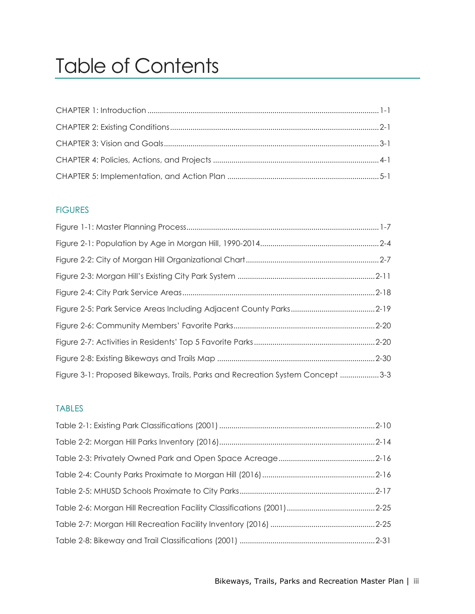# Table of Contents

## **FIGURES**

| Figure 3-1: Proposed Bikeways, Trails, Parks and Recreation System Concept 3-3 |  |
|--------------------------------------------------------------------------------|--|

## TABLES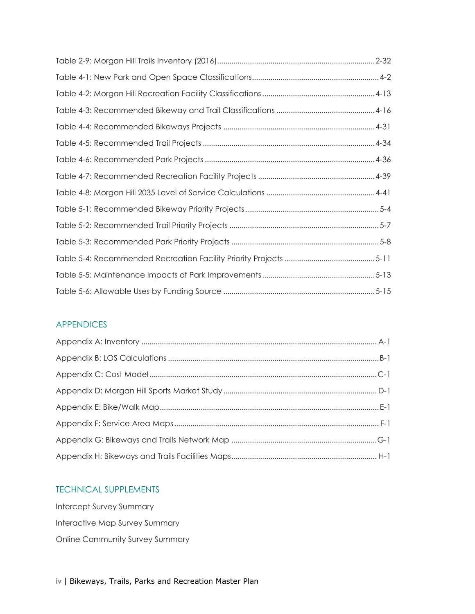### APPENDICES

### TECHNICAL SUPPLEMENTS

Intercept Survey Summary Interactive Map Survey Summary Online Community Survey Summary